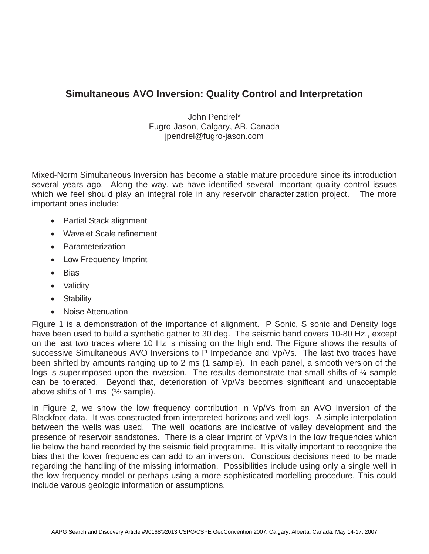## **Simultaneous AVO Inversion: Quality Control and Interpretation**

John Pendrel\* Fugro-Jason, Calgary, AB, Canada jpendrel@fugro-jason.com

Mixed-Norm Simultaneous Inversion has become a stable mature procedure since its introduction several years ago. Along the way, we have identified several important quality control issues which we feel should play an integral role in any reservoir characterization project. The more important ones include:

- Partial Stack alignment
- Wavelet Scale refinement
- Parameterization
- Low Frequency Imprint
- Bias
- Validity
- Stability
- Noise Attenuation

Figure 1 is a demonstration of the importance of alignment. P Sonic, S sonic and Density logs have been used to build a synthetic gather to 30 deg. The seismic band covers 10-80 Hz., except on the last two traces where 10 Hz is missing on the high end. The Figure shows the results of successive Simultaneous AVO Inversions to P Impedance and Vp/Vs. The last two traces have been shifted by amounts ranging up to 2 ms (1 sample). In each panel, a smooth version of the logs is superimposed upon the inversion. The results demonstrate that small shifts of % sample can be tolerated. Beyond that, deterioration of Vp/Vs becomes significant and unacceptable above shifts of 1 ms  $(\frac{1}{2}$  sample).

In Figure 2, we show the low frequency contribution in Vp/Vs from an AVO Inversion of the Blackfoot data. It was constructed from interpreted horizons and well logs. A simple interpolation between the wells was used. The well locations are indicative of valley development and the presence of reservoir sandstones. There is a clear imprint of Vp/Vs in the low frequencies which lie below the band recorded by the seismic field programme. It is vitally important to recognize the bias that the lower frequencies can add to an inversion. Conscious decisions need to be made regarding the handling of the missing information. Possibilities include using only a single well in the low frequency model or perhaps using a more sophisticated modelling procedure. This could include varous geologic information or assumptions.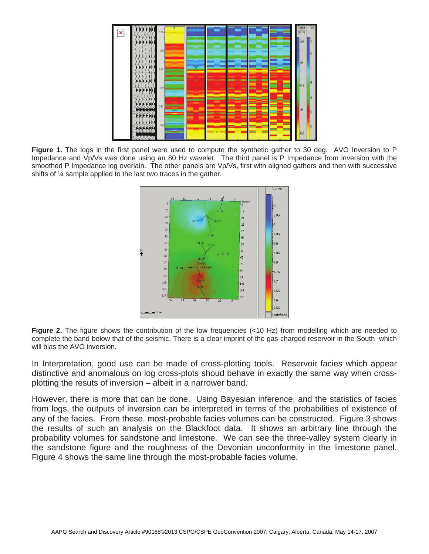

**Figure 1.** The logs in the first panel were used to compute the synthetic gather to 30 deg. AVO Inversion to P Impedance and Vp/Vs was done using an 80 Hz wavelet. The third panel is P Impedance from inversion with the smoothed P Impedance log overlain. The other panels are Vp/Vs, first with aligned gathers and then with successive shifts of ¼ sample applied to the last two traces in the gather.



**Figure 2.** The figure shows the contribution of the low frequencies (<10 Hz) from modelling which are needed to complete the band below that of the seismic. There is a clear imprint of the gas-charged reservoir in the South which will bias the AVO inversion.

In Interpretation, good use can be made of cross-plotting tools. Reservoir facies which appear distinctive and anomalous on log cross-plots shoud behave in exactly the same way when crossplotting the resuts of inversion – albeit in a narrower band.

However, there is more that can be done. Using Bayesian inference, and the statistics of facies from logs, the outputs of inversion can be interpreted in terms of the probabilities of existence of any of the facies. From these, most-probable facies volumes can be constructed. Figure 3 shows the results of such an analysis on the Blackfoot data. It shows an arbitrary line through the probability volumes for sandstone and limestone. We can see the three-valley system clearly in the sandstone figure and the roughness of the Devonian unconformity in the limestone panel. Figure 4 shows the same line through the most-probable facies volume.